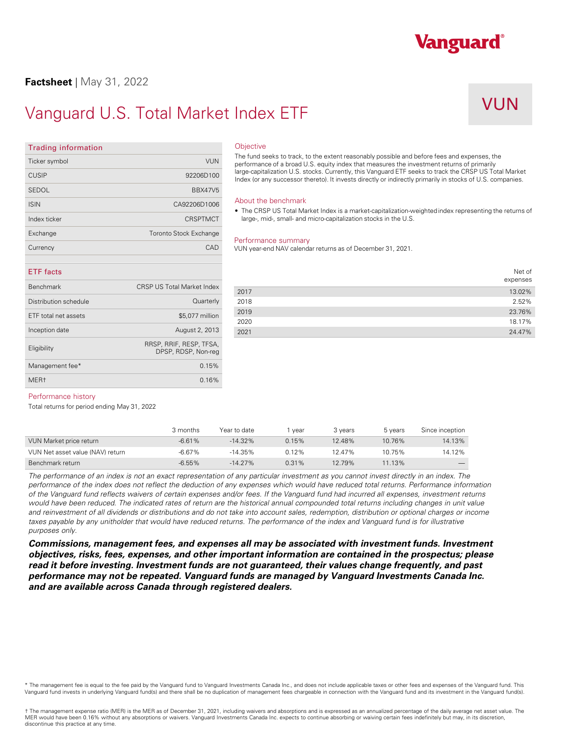### **Factsheet** | May 31, 2022

**Trading information** 

## Vanguard U.S. Total Market Index ETF

## VUN

Vanguard®

| Ticker symbol         | <b>VUN</b>                                     | The fund se<br>performand    |  |
|-----------------------|------------------------------------------------|------------------------------|--|
| <b>CUSIP</b>          | 92206D100                                      | large-capita<br>Index (or ar |  |
| <b>SEDOL</b>          | <b>BBX47V5</b>                                 |                              |  |
| <b>ISIN</b>           | CA92206D1006                                   | About the<br>The CRS         |  |
| Index ticker          | <b>CRSPTMCT</b>                                | large-, m                    |  |
| Exchange              | <b>Toronto Stock Exchange</b>                  |                              |  |
| Currency              | CAD                                            | Performar<br>VUN year-e      |  |
| <b>ETF</b> facts      |                                                |                              |  |
| <b>Benchmark</b>      | <b>CRSP US Total Market Index</b>              | 2017                         |  |
| Distribution schedule | Quarterly                                      | 2018                         |  |
| ETF total net assets  | \$5,077 million                                | 2019<br>2020                 |  |
| Inception date        | August 2, 2013                                 | 2021                         |  |
| Eligibility           | RRSP, RRIF, RESP, TFSA,<br>DPSP, RDSP, Non-reg |                              |  |
| Management fee*       | 0.15%                                          |                              |  |
| MER <sub>t</sub>      | 0.16%                                          |                              |  |

### **Objective**

The fund seeks to track, to the extent reasonably possible and before fees and expenses, the performance of a broad U.S. equity index that measures the investment returns of primarily large-capitalization U.S. stocks. Currently, this Vanguard ETF seeks to track the CRSP US Total Market Index (or any successor thereto). It invests directly or indirectly primarily in stocks of U.S. companies.

### About the benchmark

• The CRSP US Total Market Index is a market-capitalization-weighted index representing the returns of large-, mid-, small- and micro-capitalization stocks in the U.S.

#### Performance summary

VUN year-end NAV calendar returns as of December 31, 2021.

|      | Net of<br>expenses |
|------|--------------------|
| 2017 | 13.02%             |
| 2018 | 2.52%              |
| 2019 | 23.76%             |
| 2020 | 18.17%             |
| 2021 | 24.47%             |

### Performance history

Total returns for period ending May 31, 2022

|                                  | 3 months  | Year to date | vear     | 3 vears | 5 years | Since inception          |
|----------------------------------|-----------|--------------|----------|---------|---------|--------------------------|
| VUN Market price return          | $-6.61\%$ | $-14.32\%$   | 0.15%    | 12.48%  | 10.76%  | 14.13%                   |
| VUN Net asset value (NAV) return | $-6.67\%$ | $-14.35%$    | 0.12%    | 12.47%  | 10.75%  | 14.12%                   |
| Benchmark return                 | $-6.55%$  | $-14.27\%$   | $0.31\%$ | 12.79%  | 11.13%  | $\overline{\phantom{a}}$ |

*The performance of an index is not an exact representation of any particular investment as you cannot invest directly in an index. The performance of the index does not reflect the deduction of any expenses which would have reduced total returns. Performance information of the Vanguard fund reflects waivers of certain expenses and/or fees. If the Vanguard fund had incurred all expenses, investment returns*  would have been reduced. The indicated rates of return are the historical annual compounded total returns including changes in unit value and reinvestment of all dividends or distributions and do not take into account sales, redemption, distribution or optional charges or income taxes payable by any unitholder that would have reduced returns. The performance of the index and Vanguard fund is for illustrative *purposes only.* 

*Commissions, management fees, and expenses all may be associated with investment funds. Investment objectives, risks, fees, expenses, and other important information are contained in the prospectus; please read it before investing. Investment funds are not guaranteed, their values change frequently, and past performance may not be repeated. Vanguard funds are managed by Vanguard Investments Canada Inc. and are available across Canada through registered dealers.* 

\* The management fee is equal to the fee paid by the Vanguard fund to Vanguard Investments Canada Inc., and does not include applicable taxes or other fees and expenses of the Vanguard fund. This<br>Vanguard fund invests in u